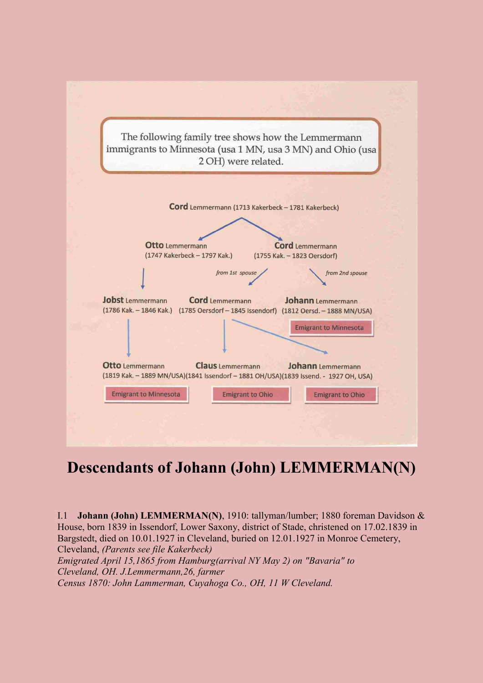

## **Descendants of Johann (John) LEMMERMAN(N)**

<span id="page-0-0"></span>I.1 **Johann (John) LEMMERMAN(N)**, 1910: tallyman/lumber; 1880 foreman Davidson & House, born 1839 in Issendorf, Lower Saxony, district of Stade, christened on 17.02.1839 in Bargstedt, died on 10.01.1927 in Cleveland, buried on 12.01.1927 in Monroe Cemetery, Cleveland, *(Parents see file Kakerbeck) Emigrated April 15,1865 from Hamburg(arrival NY May 2) on "Bavaria" to Cleveland, OH. J.Lemmermann,26, farmer Census 1870: John Lammerman, Cuyahoga Co., OH, 11 W Cleveland.*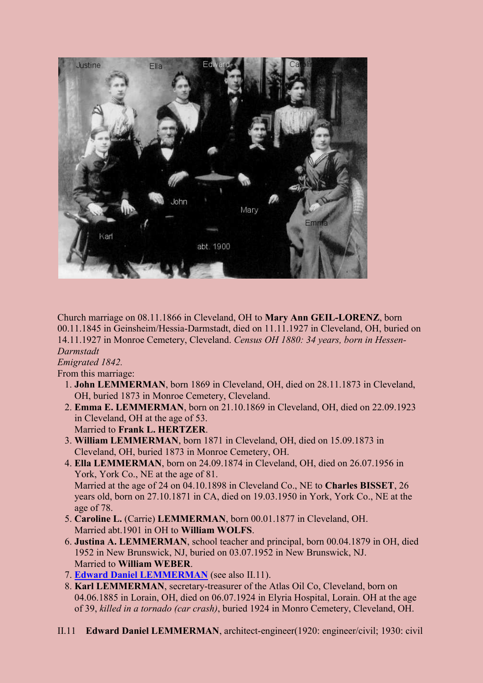

<span id="page-1-1"></span>Church marriage on 08.11.1866 in Cleveland, OH to **Mary Ann GEIL-LORENZ**, born 00.11.1845 in Geinsheim/Hessia-Darmstadt, died on 11.11.1927 in Cleveland, OH, buried on 14.11.1927 in Monroe Cemetery, Cleveland. *Census OH 1880: 34 years, born in Hessen-Darmstadt*

## *Emigrated 1842.*

From this marriage:

- 1. **John LEMMERMAN**, born 1869 in Cleveland, OH, died on 28.11.1873 in Cleveland, OH, buried 1873 in Monroe Cemetery, Cleveland.
- 2. **Emma E. LEMMERMAN**, born on 21.10.1869 in Cleveland, OH, died on 22.09.1923 in Cleveland, OH at the age of 53. Married to **Frank L. HERTZER**.
- 3. **William LEMMERMAN**, born 1871 in Cleveland, OH, died on 15.09.1873 in Cleveland, OH, buried 1873 in Monroe Cemetery, OH.
- 4. **Ella LEMMERMAN**, born on 24.09.1874 in Cleveland, OH, died on 26.07.1956 in York, York Co., NE at the age of 81. Married at the age of 24 on 04.10.1898 in Cleveland Co., NE to **Charles BISSET**, 26 years old, born on 27.10.1871 in CA, died on 19.03.1950 in York, York Co., NE at the age of 78.
- 5. **Caroline L.** (Carrie) **LEMMERMAN**, born 00.01.1877 in Cleveland, OH. Married abt.1901 in OH to **William WOLFS**.
- 6. **Justina A. LEMMERMAN**, school teacher and principal, born 00.04.1879 in OH, died 1952 in New Brunswick, NJ, buried on 03.07.1952 in New Brunswick, NJ. Married to **William WEBER**.
- 7. **[Edward Daniel LEMMERMAN](#page-1-0)** (see also II.11).
- 8. **Karl LEMMERMAN**, secretary-treasurer of the Atlas Oil Co, Cleveland, born on 04.06.1885 in Lorain, OH, died on 06.07.1924 in Elyria Hospital, Lorain. OH at the age of 39, *killed in a tornado (car crash)*, buried 1924 in Monro Cemetery, Cleveland, OH.
- <span id="page-1-0"></span>II.11 **Edward Daniel LEMMERMAN**, architect-engineer(1920: engineer/civil; 1930: civil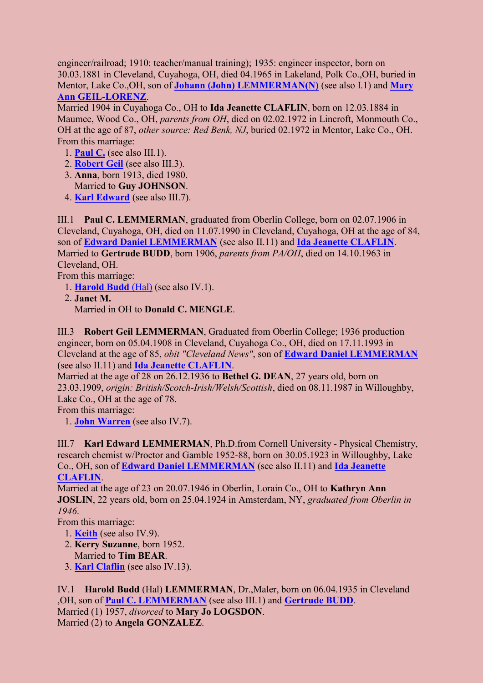engineer/railroad; 1910: teacher/manual training); 1935: engineer inspector, born on 30.03.1881 in Cleveland, Cuyahoga, OH, died 04.1965 in Lakeland, Polk Co.,OH, buried in Mentor, Lake Co.,OH, son of **[Johann \(John\) LEMMERMAN\(N\)](#page-0-0)** (see also I.1) and **[Mary](#page-1-1)  [Ann GEIL-LORENZ](#page-1-1)**.

Married 1904 in Cuyahoga Co., OH to **Ida Jeanette CLAFLIN**, born on 12.03.1884 in Maumee, Wood Co., OH, *parents from OH*, died on 02.02.1972 in Lincroft, Monmouth Co., OH at the age of 87, *other source: Red Benk, NJ*, buried 02.1972 in Mentor, Lake Co., OH. From this marriage:

- <span id="page-2-3"></span>1. **[Paul C.](#page-2-0)** (see also III.1).
- 2. **[Robert Geil](#page-2-1)** (see also III.3).
- 3. **Anna**, born 1913, died 1980. Married to **Guy JOHNSON**.
- 4. **[Karl Edward](#page-2-2)** (see also III.7).

<span id="page-2-0"></span>III.1 **Paul C. LEMMERMAN**, graduated from Oberlin College, born on 02.07.1906 in Cleveland, Cuyahoga, OH, died on 11.07.1990 in Cleveland, Cuyahoga, OH at the age of 84, son of **[Edward Daniel LEMMERMAN](#page-1-0)** (see also II.11) and **[Ida Jeanette CLAFLIN](#page-2-3)**. Married to **Gertrude BUDD**, born 1906, *parents from PA/OH*, died on 14.10.1963 in Cleveland, OH.

<span id="page-2-5"></span>From this marriage:

- 1. **[Harold Budd](#page-2-4)** (Hal) (see also IV.1).
- 2. **Janet M.**

<span id="page-2-6"></span>Married in OH to **Donald C. MENGLE**.

<span id="page-2-1"></span>III.3 **Robert Geil LEMMERMAN**, Graduated from Oberlin College; 1936 production engineer, born on 05.04.1908 in Cleveland, Cuyahoga Co., OH, died on 17.11.1993 in Cleveland at the age of 85, *obit "Cleveland News"*, son of **[Edward Daniel LEMMERMAN](#page-1-0)** (see also II.11) and **[Ida Jeanette CLAFLIN](#page-2-3)**.

Married at the age of 28 on 26.12.1936 to **Bethel G. DEAN**, 27 years old, born on 23.03.1909, *origin: British/Scotch-Irish/Welsh/Scottish*, died on 08.11.1987 in Willoughby, Lake Co., OH at the age of 78.

From this marriage:

1. **[John Warren](#page-3-0)** (see also IV.7).

<span id="page-2-2"></span>III.7 **Karl Edward LEMMERMAN**, Ph.D.from Cornell University - Physical Chemistry, research chemist w/Proctor and Gamble 1952-88, born on 30.05.1923 in Willoughby, Lake Co., OH, son of **[Edward Daniel LEMMERMAN](#page-1-0)** (see also II.11) and **[Ida Jeanette](#page-2-3)  [CLAFLIN](#page-2-3)**.

Married at the age of 23 on 20.07.1946 in Oberlin, Lorain Co., OH to **Kathryn Ann JOSLIN**, 22 years old, born on 25.04.1924 in Amsterdam, NY, *graduated from Oberlin in 1946*.

From this marriage:

- <span id="page-2-7"></span>1. **[Keith](#page-3-1)** (see also IV.9).
- 2. **Kerry Suzanne**, born 1952. Married to **Tim BEAR**.
- <span id="page-2-8"></span>3. **[Karl Claflin](#page-3-2)** (see also IV.13).

<span id="page-2-4"></span>IV.1 **Harold Budd** (Hal) **LEMMERMAN**, Dr.,Maler, born on 06.04.1935 in Cleveland ,OH, son of **[Paul C. LEMMERMAN](#page-2-0)** (see also III.1) and **[Gertrude BUDD](#page-2-5)**. Married (1) 1957, *divorced* to **Mary Jo LOGSDON**. Married (2) to **Angela GONZALEZ**.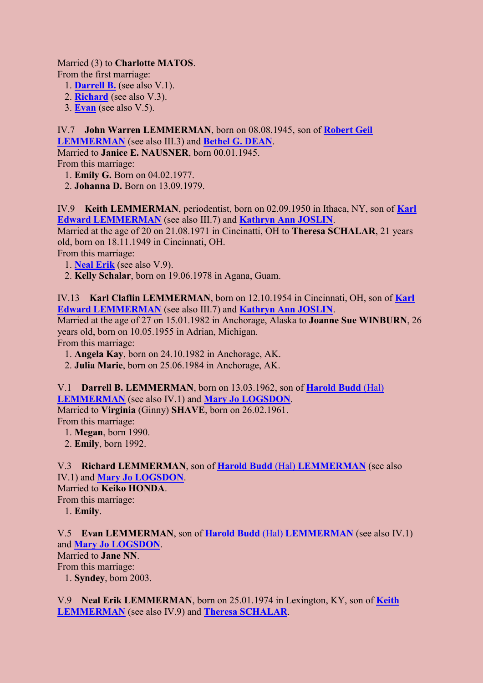Married (3) to **Charlotte MATOS**.

From the first marriage:

- 1. **[Darrell B.](#page-3-3)** (see also V.1).
- 2. **[Richard](#page-3-4)** (see also V.3).
- 3. **[Evan](#page-3-5)** (see also V.5).

## <span id="page-3-0"></span>IV.7 **John Warren LEMMERMAN**, born on 08.08.1945, son of **[Robert Geil](#page-2-1)**

**[LEMMERMAN](#page-2-1)** (see also III.3) and **[Bethel G. DEAN](#page-2-6)**. Married to **Janice E. NAUSNER**, born 00.01.1945.

From this marriage:

1. **Emily G.** Born on 04.02.1977.

2. **Johanna D.** Born on 13.09.1979.

<span id="page-3-1"></span>IV.9 **Keith LEMMERMAN**, periodentist, born on 02.09.1950 in Ithaca, NY, son of **[Karl](#page-2-2)  [Edward LEMMERMAN](#page-2-2)** (see also III.7) and **[Kathryn Ann JOSLIN](#page-2-7)**.

Married at the age of 20 on 21.08.1971 in Cincinatti, OH to **Theresa SCHALAR**, 21 years old, born on 18.11.1949 in Cincinnati, OH.

From this marriage:

- <span id="page-3-7"></span>1. **[Neal Erik](#page-3-6)** (see also V.9).
- 2. **Kelly Schalar**, born on 19.06.1978 in Agana, Guam.

<span id="page-3-2"></span>IV.13 **Karl Claflin LEMMERMAN**, born on 12.10.1954 in Cincinnati, OH, son of **[Karl](#page-2-2)  [Edward LEMMERMAN](#page-2-2)** (see also III.7) and **[Kathryn Ann JOSLIN](#page-2-7)**.

Married at the age of 27 on 15.01.1982 in Anchorage, Alaska to **Joanne Sue WINBURN**, 26 years old, born on 10.05.1955 in Adrian, Michigan.

From this marriage:

- 1. **Angela Kay**, born on 24.10.1982 in Anchorage, AK.
- 2. **Julia Marie**, born on 25.06.1984 in Anchorage, AK.

<span id="page-3-3"></span>V.1 **Darrell B. LEMMERMAN**, born on 13.03.1962, son of **[Harold Budd](#page-2-4)** (Hal) **[LEMMERMAN](#page-2-4)** (see also IV.1) and **[Mary Jo LOGSDON](#page-2-8)**. Married to **Virginia** (Ginny) **SHAVE**, born on 26.02.1961.

From this marriage:

- 1. **Megan**, born 1990.
- 2. **Emily**, born 1992.

<span id="page-3-4"></span>V.3 **Richard LEMMERMAN**, son of **Harold Budd** (Hal) **[LEMMERMAN](#page-2-4)** (see also IV.1) and **[Mary Jo LOGSDON](#page-2-8)**.

Married to **Keiko HONDA**.

From this marriage:

1. **Emily**.

<span id="page-3-5"></span>V.5 **Evan LEMMERMAN**, son of **Harold Budd** (Hal) **[LEMMERMAN](#page-2-4)** (see also IV.1) and **[Mary Jo LOGSDON](#page-2-8)**.

Married to **Jane NN**. From this marriage:

1. **Syndey**, born 2003.

<span id="page-3-6"></span>V.9 **Neal Erik LEMMERMAN**, born on 25.01.1974 in Lexington, KY, son of **[Keith](#page-3-1)  [LEMMERMAN](#page-3-1)** (see also IV.9) and **[Theresa SCHALAR](#page-3-7)**.